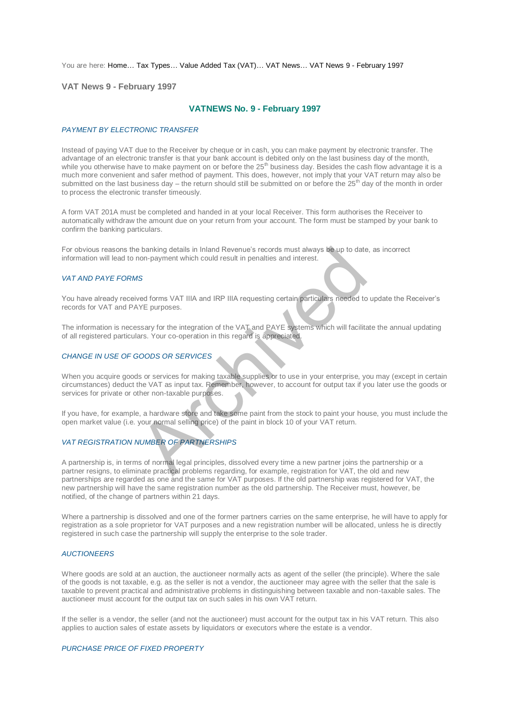You are here: [Home…](http://196.38.114.171/home.asp?pid=1) [Tax Types…](http://196.38.114.171/home.asp?pid=161) [Value Added Tax \(VAT\)…](http://196.38.114.171/home.asp?pid=194) [VAT News…](http://196.38.114.171/home.asp?pid=4722) [VAT News 9 - February 1997](http://196.38.114.171/home.asp?pid=47311) 

**VAT News 9 - February 1997** 

# **VATNEWS No. 9 - February 1997**

#### *PAYMENT BY ELECTRONIC TRANSFER*

Instead of paying VAT due to the Receiver by cheque or in cash, you can make payment by electronic transfer. The advantage of an electronic transfer is that your bank account is debited only on the last business day of the month, while you otherwise have to make payment on or before the 25<sup>th</sup> business day. Besides the cash flow advantage it is a much more convenient and safer method of payment. This does, however, not imply that your VAT return may also be submitted on the last business day – the return should still be submitted on or before the  $25<sup>th</sup>$  day of the month in order to process the electronic transfer timeously.

A form VAT 201A must be completed and handed in at your local Receiver. This form authorises the Receiver to automatically withdraw the amount due on your return from your account. The form must be stamped by your bank to confirm the banking particulars.

For obvious reasons the banking details in Inland Revenue's records must always be up to date, as incorrect information will lead to non-payment which could result in penalties and interest.

## *VAT AND PAYE FORMS*

You have already received forms VAT IIIA and IRP IIIA requesting certain particulars needed to update the Receiver's records for VAT and PAYE purposes.

The information is necessary for the integration of the VAT and PAYE systems which will facilitate the annual updating of all registered particulars. Your co-operation in this regard is appreciated.

## *CHANGE IN USE OF GOODS OR SERVICES*

When you acquire goods or services for making taxable supplies or to use in your enterprise, you may (except in certain circumstances) deduct the VAT as input tax. Remember, however, to account for output tax if you later use the goods or services for private or other non-taxable purposes. e banking details in Inland Revenue's records must always be up to date<br>non-payment which could result in penalties and interest.<br>As<br>are do forms VAT IIIA and IRP IIIA requesting certain particulars needed to<br>NE purposes.<br>

If you have, for example, a hardware store and take some paint from the stock to paint your house, you must include the open market value (i.e. your normal selling price) of the paint in block 10 of your VAT return.

#### *VAT REGISTRATION NUMBER OF PARTNERSHIPS*

A partnership is, in terms of normal legal principles, dissolved every time a new partner joins the partnership or a partner resigns, to eliminate practical problems regarding, for example, registration for VAT, the old and new partnerships are regarded as one and the same for VAT purposes. If the old partnership was registered for VAT, the new partnership will have the same registration number as the old partnership. The Receiver must, however, be notified, of the change of partners within 21 days.

Where a partnership is dissolved and one of the former partners carries on the same enterprise, he will have to apply for registration as a sole proprietor for VAT purposes and a new registration number will be allocated, unless he is directly registered in such case the partnership will supply the enterprise to the sole trader.

#### *AUCTIONEERS*

Where goods are sold at an auction, the auctioneer normally acts as agent of the seller (the principle). Where the sale of the goods is not taxable, e.g. as the seller is not a vendor, the auctioneer may agree with the seller that the sale is taxable to prevent practical and administrative problems in distinguishing between taxable and non-taxable sales. The auctioneer must account for the output tax on such sales in his own VAT return.

If the seller is a vendor, the seller (and not the auctioneer) must account for the output tax in his VAT return. This also applies to auction sales of estate assets by liquidators or executors where the estate is a vendor.

#### *PURCHASE PRICE OF FIXED PROPERTY*